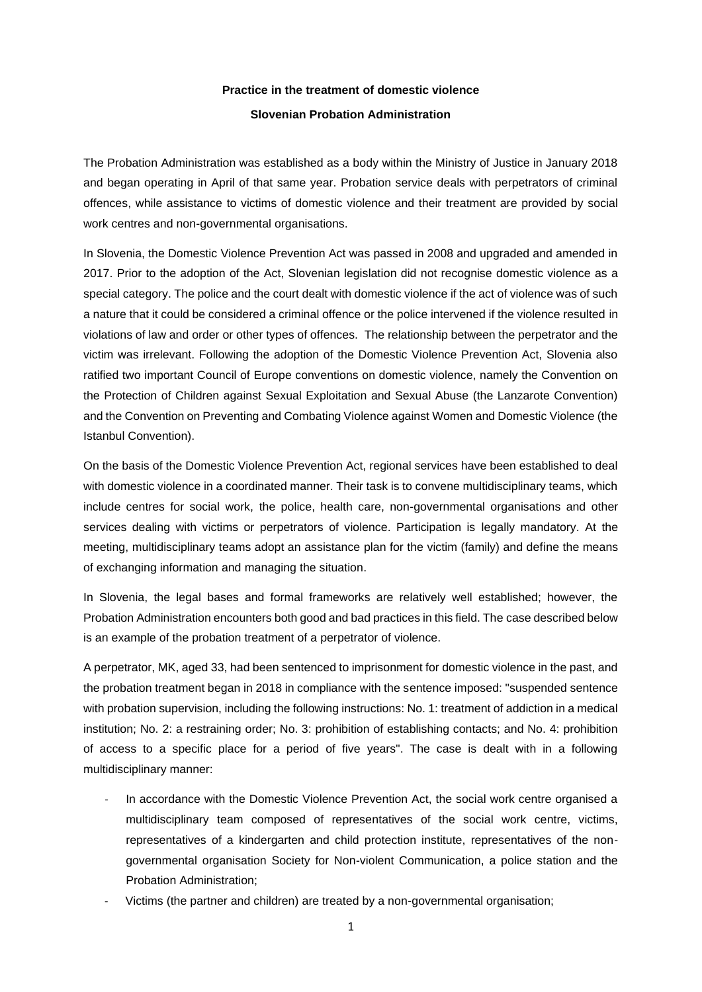## **Practice in the treatment of domestic violence Slovenian Probation Administration**

The Probation Administration was established as a body within the Ministry of Justice in January 2018 and began operating in April of that same year. Probation service deals with perpetrators of criminal offences, while assistance to victims of domestic violence and their treatment are provided by social work centres and non-governmental organisations.

In Slovenia, the Domestic Violence Prevention Act was passed in 2008 and upgraded and amended in 2017. Prior to the adoption of the Act, Slovenian legislation did not recognise domestic violence as a special category. The police and the court dealt with domestic violence if the act of violence was of such a nature that it could be considered a criminal offence or the police intervened if the violence resulted in violations of law and order or other types of offences. The relationship between the perpetrator and the victim was irrelevant. Following the adoption of the Domestic Violence Prevention Act, Slovenia also ratified two important Council of Europe conventions on domestic violence, namely the Convention on the Protection of Children against Sexual Exploitation and Sexual Abuse (the Lanzarote Convention) and the Convention on Preventing and Combating Violence against Women and Domestic Violence (the Istanbul Convention).

On the basis of the Domestic Violence Prevention Act, regional services have been established to deal with domestic violence in a coordinated manner. Their task is to convene multidisciplinary teams, which include centres for social work, the police, health care, non-governmental organisations and other services dealing with victims or perpetrators of violence. Participation is legally mandatory. At the meeting, multidisciplinary teams adopt an assistance plan for the victim (family) and define the means of exchanging information and managing the situation.

In Slovenia, the legal bases and formal frameworks are relatively well established; however, the Probation Administration encounters both good and bad practices in this field. The case described below is an example of the probation treatment of a perpetrator of violence.

A perpetrator, MK, aged 33, had been sentenced to imprisonment for domestic violence in the past, and the probation treatment began in 2018 in compliance with the sentence imposed: "suspended sentence with probation supervision, including the following instructions: No. 1: treatment of addiction in a medical institution; No. 2: a restraining order; No. 3: prohibition of establishing contacts; and No. 4: prohibition of access to a specific place for a period of five years". The case is dealt with in a following multidisciplinary manner:

- In accordance with the Domestic Violence Prevention Act, the social work centre organised a multidisciplinary team composed of representatives of the social work centre, victims, representatives of a kindergarten and child protection institute, representatives of the nongovernmental organisation Society for Non-violent Communication, a police station and the Probation Administration;
- Victims (the partner and children) are treated by a non-governmental organisation;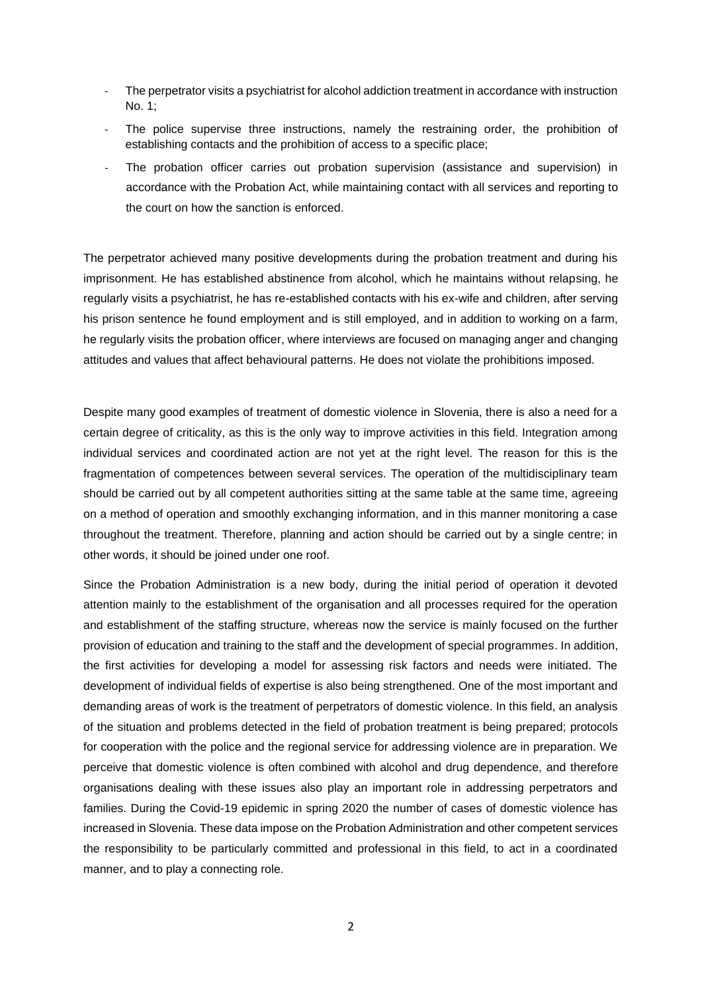- The perpetrator visits a psychiatrist for alcohol addiction treatment in accordance with instruction No. 1;
- The police supervise three instructions, namely the restraining order, the prohibition of establishing contacts and the prohibition of access to a specific place;
- The probation officer carries out probation supervision (assistance and supervision) in accordance with the Probation Act, while maintaining contact with all services and reporting to the court on how the sanction is enforced.

The perpetrator achieved many positive developments during the probation treatment and during his imprisonment. He has established abstinence from alcohol, which he maintains without relapsing, he regularly visits a psychiatrist, he has re-established contacts with his ex-wife and children, after serving his prison sentence he found employment and is still employed, and in addition to working on a farm, he regularly visits the probation officer, where interviews are focused on managing anger and changing attitudes and values that affect behavioural patterns. He does not violate the prohibitions imposed.

Despite many good examples of treatment of domestic violence in Slovenia, there is also a need for a certain degree of criticality, as this is the only way to improve activities in this field. Integration among individual services and coordinated action are not yet at the right level. The reason for this is the fragmentation of competences between several services. The operation of the multidisciplinary team should be carried out by all competent authorities sitting at the same table at the same time, agreeing on a method of operation and smoothly exchanging information, and in this manner monitoring a case throughout the treatment. Therefore, planning and action should be carried out by a single centre; in other words, it should be joined under one roof.

Since the Probation Administration is a new body, during the initial period of operation it devoted attention mainly to the establishment of the organisation and all processes required for the operation and establishment of the staffing structure, whereas now the service is mainly focused on the further provision of education and training to the staff and the development of special programmes. In addition, the first activities for developing a model for assessing risk factors and needs were initiated. The development of individual fields of expertise is also being strengthened. One of the most important and demanding areas of work is the treatment of perpetrators of domestic violence. In this field, an analysis of the situation and problems detected in the field of probation treatment is being prepared; protocols for cooperation with the police and the regional service for addressing violence are in preparation. We perceive that domestic violence is often combined with alcohol and drug dependence, and therefore organisations dealing with these issues also play an important role in addressing perpetrators and families. During the Covid-19 epidemic in spring 2020 the number of cases of domestic violence has increased in Slovenia. These data impose on the Probation Administration and other competent services the responsibility to be particularly committed and professional in this field, to act in a coordinated manner, and to play a connecting role.